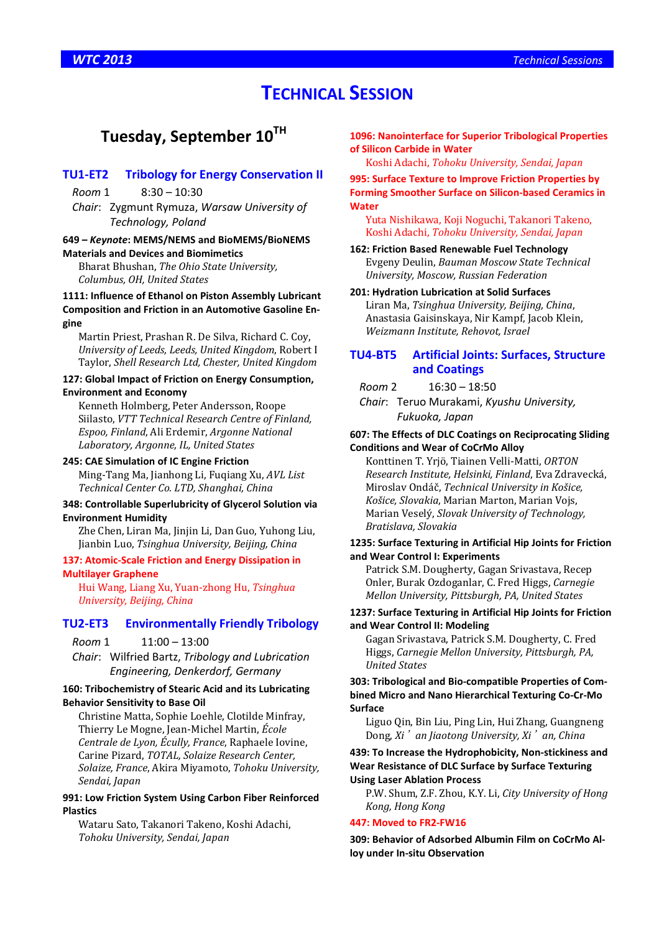# **TECHNICAL SESSION**

# **Tuesday, September 10TH**

### **TU1-ET2 Tribology for Energy Conservation II**

*Room* 1 8:30 – 10:30

*Chair*: Zygmunt Rymuza, *Warsaw University of Technology, Poland*

### **649 –** *Keynote***: MEMS/NEMS and BioMEMS/BioNEMS Materials and Devices and Biomimetics**

Bharat Bhushan, *The Ohio State University, Columbus, OH, United States*

### **1111: Influence of Ethanol on Piston Assembly Lubricant Composition and Friction in an Automotive Gasoline Engine**

Martin Priest, Prashan R. De Silva, Richard C. Coy, *University of Leeds, Leeds, United Kingdom*, Robert I Taylor, *Shell Research Ltd, Chester, United Kingdom*

## **127: Global Impact of Friction on Energy Consumption,**

### **Environment and Economy**

Kenneth Holmberg, Peter Andersson, Roope Siilasto, *VTT Technical Research Centre of Finland, Espoo, Finland*, Ali Erdemir, *Argonne National Laboratory, Argonne, IL, United States*

### **245: CAE Simulation of IC Engine Friction**

Ming-Tang Ma, Jianhong Li, Fuqiang Xu, *AVL List Technical Center Co. LTD, Shanghai, China*

### **348: Controllable Superlubricity of Glycerol Solution via Environment Humidity**

Zhe Chen, Liran Ma, Jinjin Li, Dan Guo, Yuhong Liu, Jianbin Luo, *Tsinghua University, Beijing, China*

### **137: Atomic-Scale Friction and Energy Dissipation in Multilayer Graphene**

Hui Wang, Liang Xu, Yuan-zhong Hu, *Tsinghua University, Beijing, China*

### **TU2-ET3 Environmentally Friendly Tribology**

*Room* 1 11:00 – 13:00

*Chair*: Wilfried Bartz, *Tribology and Lubrication Engineering, Denkerdorf, Germany*

### **160: Tribochemistry of Stearic Acid and its Lubricating Behavior Sensitivity to Base Oil**

Christine Matta, Sophie Loehle, Clotilde Minfray, Thierry Le Mogne, Jean-Michel Martin, *École Centrale de Lyon, Écully, France*, Raphaele Iovine, Carine Pizard, *TOTAL, Solaize Research Center, Solaize, France*, Akira Miyamoto, *Tohoku University, Sendai, Japan*

### **991: Low Friction System Using Carbon Fiber Reinforced Plastics**

Wataru Sato, Takanori Takeno, Koshi Adachi, *Tohoku University, Sendai, Japan*

**1096: Nanointerface for Superior Tribological Properties of Silicon Carbide in Water** 

Koshi Adachi, *Tohoku University, Sendai, Japan*

**995: Surface Texture to Improve Friction Properties by Forming Smoother Surface on Silicon-based Ceramics in Water** 

Yuta Nishikawa, Koji Noguchi, Takanori Takeno, Koshi Adachi, *Tohoku University, Sendai, Japan*

### **162: Friction Based Renewable Fuel Technology**

Evgeny Deulin, *Bauman Moscow State Technical University, Moscow, Russian Federation*

### **201: Hydration Lubrication at Solid Surfaces**

Liran Ma, *Tsinghua University, Beijing, China*, Anastasia Gaisinskaya, Nir Kampf, Jacob Klein, *Weizmann Institute, Rehovot, Israel*

### **TU4-BT5 Artificial Joints: Surfaces, Structure and Coatings**

*Room* 2 16:30 – 18:50

*Chair*: Teruo Murakami, *Kyushu University, Fukuoka, Japan*

### **607: The Effects of DLC Coatings on Reciprocating Sliding Conditions and Wear of CoCrMo Alloy**

Konttinen T. Yrjö, Tiainen Velli-Matti, *ORTON Research Institute, Helsinki, Finland*, Eva Zdravecká, Miroslav Ondáč, *Technical University in Košice, Košice, Slovakia*, Marian Marton, Marian Vojs, Marian Veselý, *Slovak University of Technology, Bratislava, Slovakia*

### **1235: Surface Texturing in Artificial Hip Joints for Friction and Wear Control I: Experiments**

Patrick S.M. Dougherty, Gagan Srivastava, Recep Onler, Burak Ozdoganlar, C. Fred Higgs, *Carnegie Mellon University, Pittsburgh, PA, United States*

### **1237: Surface Texturing in Artificial Hip Joints for Friction and Wear Control II: Modeling**

Gagan Srivastava, Patrick S.M. Dougherty, C. Fred Higgs, *Carnegie Mellon University, Pittsburgh, PA, United States*

**303: Tribological and Bio-compatible Properties of Combined Micro and Nano Hierarchical Texturing Co-Cr-Mo Surface** 

Liguo Qin, Bin Liu, Ping Lin, Hui Zhang, Guangneng Dong, *Xi*'*an Jiaotong University, Xi*'*an, China*

### **439: To Increase the Hydrophobicity, Non-stickiness and Wear Resistance of DLC Surface by Surface Texturing Using Laser Ablation Process**

P.W. Shum, Z.F. Zhou, K.Y. Li, *City University of Hong Kong, Hong Kong*

### **447: Moved to FR2-FW16**

**309: Behavior of Adsorbed Albumin Film on CoCrMo Alloy under In-situ Observation**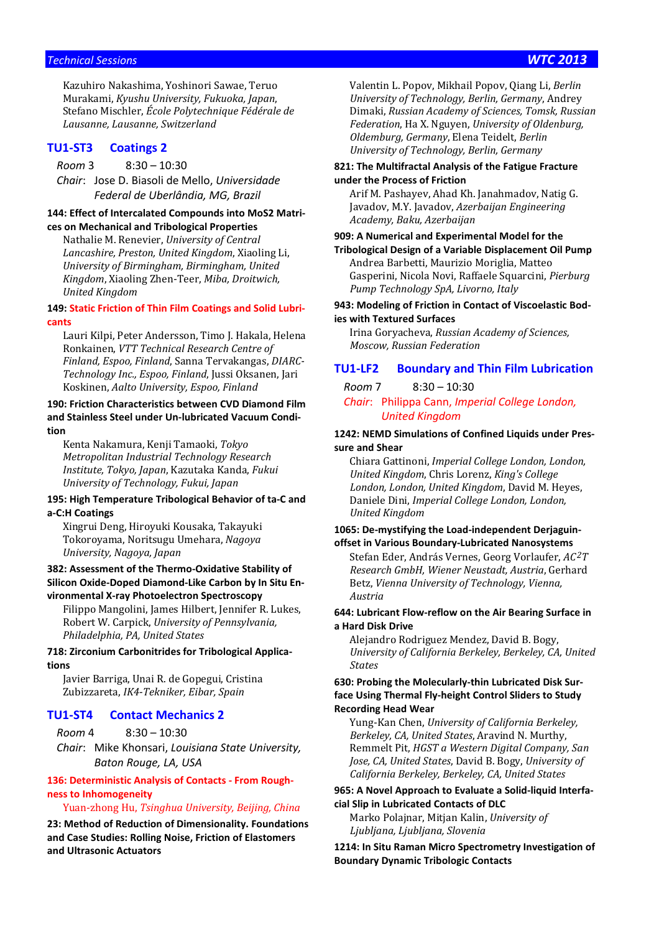### *Technical Sessions WTC 2013*

Kazuhiro Nakashima, Yoshinori Sawae, Teruo Murakami, *Kyushu University, Fukuoka, Japan*, Stefano Mischler, *École Polytechnique Fédérale de Lausanne, Lausanne, Switzerland*

### **TU1-ST3 Coatings 2**

*Room* 3 8:30 – 10:30

*Chair*: Jose D. Biasoli de Mello, *Universidade Federal de Uberlândia, MG, Brazil*

### **144: Effect of Intercalated Compounds into MoS2 Matrices on Mechanical and Tribological Properties**

Nathalie M. Renevier, *University of Central Lancashire, Preston, United Kingdom*, Xiaoling Li, *University of Birmingham, Birmingham, United Kingdom*, Xiaoling Zhen-Teer, *Miba, Droitwich, United Kingdom*

### **149: Static Friction of Thin Film Coatings and Solid Lubricants**

Lauri Kilpi, Peter Andersson, Timo J. Hakala, Helena Ronkainen, *VTT Technical Research Centre of Finland, Espoo, Finland*, Sanna Tervakangas, *DIARC-Technology Inc., Espoo, Finland*, Jussi Oksanen, Jari Koskinen, *Aalto University, Espoo, Finland*

### **190: Friction Characteristics between CVD Diamond Film and Stainless Steel under Un-lubricated Vacuum Condition**

Kenta Nakamura, Kenji Tamaoki, *Tokyo Metropolitan Industrial Technology Research Institute, Tokyo, Japan*, Kazutaka Kanda, *Fukui University of Technology, Fukui, Japan*

### **195: High Temperature Tribological Behavior of ta-C and a-C:H Coatings**

Xingrui Deng, Hiroyuki Kousaka, Takayuki Tokoroyama, Noritsugu Umehara, *Nagoya University, Nagoya, Japan*

### **382: Assessment of the Thermo-Oxidative Stability of Silicon Oxide-Doped Diamond-Like Carbon by In Situ Environmental X-ray Photoelectron Spectroscopy**

Filippo Mangolini, James Hilbert, Jennifer R. Lukes, Robert W. Carpick, *University of Pennsylvania, Philadelphia, PA, United States*

### **718: Zirconium Carbonitrides for Tribological Applications**

Javier Barriga, Unai R. de Gopegui, Cristina Zubizzareta, *IK4-Tekniker, Eibar, Spain*

### **TU1-ST4 Contact Mechanics 2**

*Room* 4 8:30 – 10:30

*Chair*: Mike Khonsari, *Louisiana State University, Baton Rouge, LA, USA*

### **136: Deterministic Analysis of Contacts - From Roughness to Inhomogeneity**

### Yuan-zhong Hu, *Tsinghua University, Beijing, China*

**23: Method of Reduction of Dimensionality. Foundations and Case Studies: Rolling Noise, Friction of Elastomers and Ultrasonic Actuators** 

Valentin L. Popov, Mikhail Popov, Qiang Li, *Berlin University of Technology, Berlin, Germany*, Andrey Dimaki, *Russian Academy of Sciences, Tomsk, Russian Federation*, Ha X. Nguyen, *University of Oldenburg, Oldemburg, Germany*, Elena Teidelt, *Berlin University of Technology, Berlin, Germany*

### **821: The Multifractal Analysis of the Fatigue Fracture under the Process of Friction**

Arif M. Pashayev, Ahad Kh. Janahmadov, Natig G. Javadov, M.Y. Javadov, *Azerbaijan Engineering Academy, Baku, Azerbaijan*

# **909: A Numerical and Experimental Model for the**

**Tribological Design of a Variable Displacement Oil Pump**  Andrea Barbetti, Maurizio Moriglia, Matteo Gasperini, Nicola Novi, Raffaele Squarcini, *Pierburg Pump Technology SpA, Livorno, Italy*

### **943: Modeling of Friction in Contact of Viscoelastic Bodies with Textured Surfaces**

Irina Goryacheva, *Russian Academy of Sciences, Moscow, Russian Federation*

### **TU1-LF2 Boundary and Thin Film Lubrication**

*Room* 7 8:30 – 10:30

*Chair*: Philippa Cann, *Imperial College London, United Kingdom*

### **1242: NEMD Simulations of Confined Liquids under Pressure and Shear**

Chiara Gattinoni, *Imperial College London, London, United Kingdom*, Chris Lorenz, *King's College London, London, United Kingdom*, David M. Heyes, Daniele Dini, *Imperial College London, London, United Kingdom*

### **1065: De-mystifying the Load-independent Derjaguinoffset in Various Boundary-Lubricated Nanosystems**

Stefan Eder, András Vernes, Georg Vorlaufer, *AC2T Research GmbH, Wiener Neustadt, Austria*, Gerhard Betz, *Vienna University of Technology, Vienna, Austria*

### **644: Lubricant Flow-reflow on the Air Bearing Surface in a Hard Disk Drive**

Alejandro Rodriguez Mendez, David B. Bogy, *University of California Berkeley, Berkeley, CA, United States*

### **630: Probing the Molecularly-thin Lubricated Disk Surface Using Thermal Fly-height Control Sliders to Study Recording Head Wear**

Yung-Kan Chen, *University of California Berkeley, Berkeley, CA, United States*, Aravind N. Murthy, Remmelt Pit, *HGST a Western Digital Company, San Jose, CA, United States*, David B. Bogy, *University of California Berkeley, Berkeley, CA, United States*

### **965: A Novel Approach to Evaluate a Solid-liquid Interfacial Slip in Lubricated Contacts of DLC**

Marko Polajnar, Mitjan Kalin, *University of Ljubljana, Ljubljana, Slovenia*

**1214: In Situ Raman Micro Spectrometry Investigation of Boundary Dynamic Tribologic Contacts**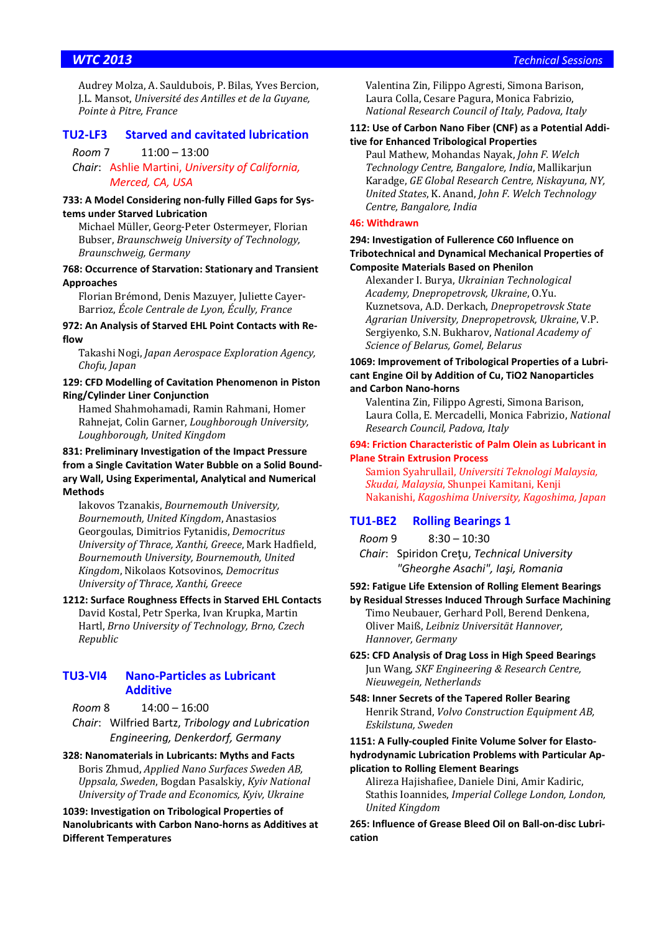Audrey Molza, A. Sauldubois, P. Bilas, Yves Bercion, J.L. Mansot, *Université des Antilles et de la Guyane, Pointe à Pitre, France*

### **TU2-LF3 Starved and cavitated lubrication**

*Room* 7 11:00 – 13:00

*Chair*: Ashlie Martini, *University of California, Merced, CA, USA*

### **733: A Model Considering non-fully Filled Gaps for Systems under Starved Lubrication**

Michael Müller, Georg-Peter Ostermeyer, Florian Bubser, *Braunschweig University of Technology, Braunschweig, Germany*

### **768: Occurrence of Starvation: Stationary and Transient Approaches**

Florian Brémond, Denis Mazuyer, Juliette Cayer-Barrioz, *École Centrale de Lyon, Écully, France*

**972: An Analysis of Starved EHL Point Contacts with Reflow** 

Takashi Nogi, *Japan Aerospace Exploration Agency, Chofu, Japan*

### **129: CFD Modelling of Cavitation Phenomenon in Piston Ring/Cylinder Liner Conjunction**

Hamed Shahmohamadi, Ramin Rahmani, Homer Rahnejat, Colin Garner, *Loughborough University, Loughborough, United Kingdom*

### **831: Preliminary Investigation of the Impact Pressure from a Single Cavitation Water Bubble on a Solid Boundary Wall, Using Experimental, Analytical and Numerical Methods**

Iakovos Tzanakis, *Bournemouth University, Bournemouth, United Kingdom*, Anastasios Georgoulas, Dimitrios Fytanidis, *Democritus University of Thrace, Xanthi, Greece*, Mark Hadfield, *Bournemouth University, Bournemouth, United Kingdom*, Nikolaos Kotsovinos, *Democritus University of Thrace, Xanthi, Greece*

**1212: Surface Roughness Effects in Starved EHL Contacts**  David Kostal, Petr Sperka, Ivan Krupka, Martin Hartl, *Brno University of Technology, Brno, Czech Republic*

### **TU3-VI4 Nano-Particles as Lubricant Additive**

*Room* 8 14:00 – 16:00

*Chair*: Wilfried Bartz, *Tribology and Lubrication Engineering, Denkerdorf, Germany*

**328: Nanomaterials in Lubricants: Myths and Facts**  Boris Zhmud, *Applied Nano Surfaces Sweden AB, Uppsala, Sweden*, Bogdan Pasalskiy, *Kyiv National University of Trade and Economics, Kyiv, Ukraine*

### **1039: Investigation on Tribological Properties of Nanolubricants with Carbon Nano-horns as Additives at Different Temperatures**

Valentina Zin, Filippo Agresti, Simona Barison, Laura Colla, Cesare Pagura, Monica Fabrizio, *National Research Council of Italy, Padova, Italy*

### **112: Use of Carbon Nano Fiber (CNF) as a Potential Additive for Enhanced Tribological Properties**

Paul Mathew, Mohandas Nayak, *John F. Welch Technology Centre, Bangalore, India*, Mallikarjun Karadge, *GE Global Research Centre, Niskayuna, NY, United States*, K. Anand, *John F. Welch Technology Centre, Bangalore, India*

### **46: Withdrawn**

### **294: Investigation of Fullerence C60 Influence on Tribotechnical and Dynamical Mechanical Properties of Composite Materials Based on Phenilon**

Alexander I. Burya, *Ukrainian Technological Academy, Dnepropetrovsk, Ukraine*, O.Yu. Kuznetsova, A.D. Derkach, *Dnepropetrovsk State Agrarian University, Dnepropetrovsk, Ukraine*, V.P. Sergiyenko, S.N. Bukharov, *National Academy of Science of Belarus, Gomel, Belarus*

### **1069: Improvement of Tribological Properties of a Lubricant Engine Oil by Addition of Cu, TiO2 Nanoparticles and Carbon Nano-horns**

Valentina Zin, Filippo Agresti, Simona Barison, Laura Colla, E. Mercadelli, Monica Fabrizio, *National Research Council, Padova, Italy*

### **694: Friction Characteristic of Palm Olein as Lubricant in Plane Strain Extrusion Process**

Samion Syahrullail, *Universiti Teknologi Malaysia, Skudai, Malaysia*, Shunpei Kamitani, Kenji Nakanishi, *Kagoshima University, Kagoshima, Japan*

### **TU1-BE2 Rolling Bearings 1**

*Room* 9 8:30 – 10:30

*Chair*: Spiridon Creţu, *Technical University "Gheorghe Asachi", Iaşi, Romania*

### **592: Fatigue Life Extension of Rolling Element Bearings**

**by Residual Stresses Induced Through Surface Machining**  Timo Neubauer, Gerhard Poll, Berend Denkena, Oliver Maiß, *Leibniz Universität Hannover, Hannover, Germany*

**625: CFD Analysis of Drag Loss in High Speed Bearings**  Jun Wang, *SKF Engineering & Research Centre, Nieuwegein, Netherlands*

**548: Inner Secrets of the Tapered Roller Bearing**  Henrik Strand, *Volvo Construction Equipment AB, Eskilstuna, Sweden*

### **1151: A Fully-coupled Finite Volume Solver for Elastohydrodynamic Lubrication Problems with Particular Application to Rolling Element Bearings**

Alireza Hajishafiee, Daniele Dini, Amir Kadiric, Stathis Ioannides, *Imperial College London, London, United Kingdom*

**265: Influence of Grease Bleed Oil on Ball-on-disc Lubrication**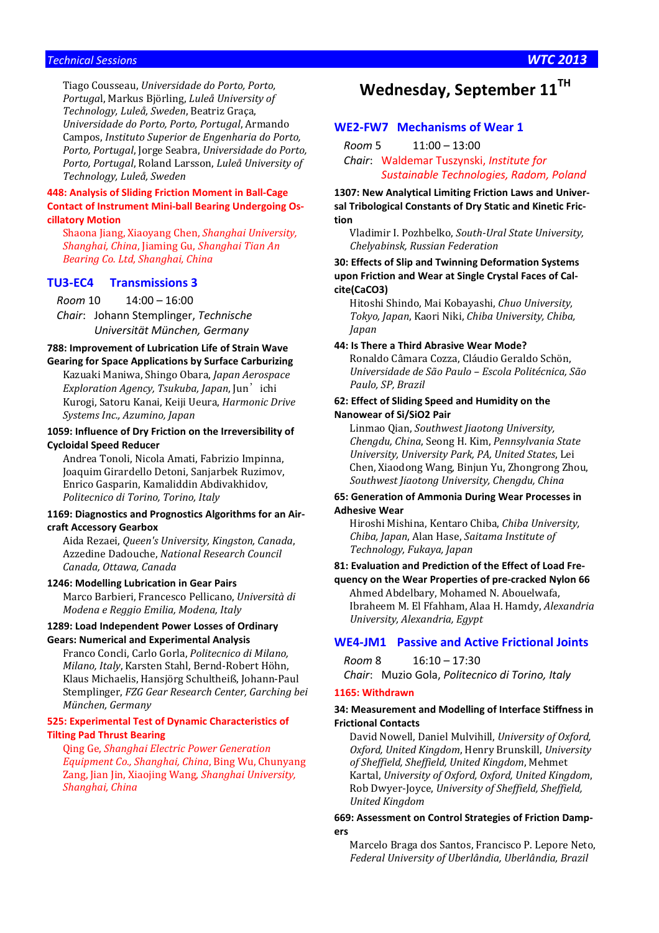### *Technical Sessions WTC 2013*

Tiago Cousseau, *Universidade do Porto, Porto, Portuga*l, Markus Björling, *Luleå University of Technology, Luleå, Sweden*, Beatriz Graça, *Universidade do Porto, Porto, Portugal*, Armando Campos, *Instituto Superior de Engenharia do Porto, Porto, Portugal*, Jorge Seabra, *Universidade do Porto, Porto, Portugal*, Roland Larsson, *Luleå University of Technology, Luleå, Sweden*

### **448: Analysis of Sliding Friction Moment in Ball-Cage Contact of Instrument Mini-ball Bearing Undergoing Oscillatory Motion**

Shaona Jiang, Xiaoyang Chen, *Shanghai University, Shanghai, China*, Jiaming Gu, *Shanghai Tian An Bearing Co. Ltd, Shanghai, China*

### **TU3-EC4 Transmissions 3**

*Room* 10 14:00 – 16:00 *Chair*: Johann Stemplinger, *Technische* 

*Universität München, Germany*

### **788: Improvement of Lubrication Life of Strain Wave Gearing for Space Applications by Surface Carburizing**

Kazuaki Maniwa, Shingo Obara, *Japan Aerospace Exploration Agency, Tsukuba, Japan, Jun*'ichi Kurogi, Satoru Kanai, Keiji Ueura, *Harmonic Drive Systems Inc., Azumino, Japan*

### **1059: Influence of Dry Friction on the Irreversibility of Cycloidal Speed Reducer**

Andrea Tonoli, Nicola Amati, Fabrizio Impinna, Joaquim Girardello Detoni, Sanjarbek Ruzimov, Enrico Gasparin, Kamaliddin Abdivakhidov, *Politecnico di Torino, Torino, Italy*

### **1169: Diagnostics and Prognostics Algorithms for an Aircraft Accessory Gearbox**

Aida Rezaei, *Queen's University, Kingston, Canada*, Azzedine Dadouche, *National Research Council Canada, Ottawa, Canada*

### **1246: Modelling Lubrication in Gear Pairs**

Marco Barbieri, Francesco Pellicano, *Università di Modena e Reggio Emilia, Modena, Italy*

### **1289: Load Independent Power Losses of Ordinary Gears: Numerical and Experimental Analysis**

Franco Concli, Carlo Gorla, *Politecnico di Milano, Milano, Italy*, Karsten Stahl, Bernd-Robert Höhn, Klaus Michaelis, Hansjörg Schultheiß, Johann-Paul Stemplinger, *FZG Gear Research Center, Garching bei München, Germany*

### **525: Experimental Test of Dynamic Characteristics of Tilting Pad Thrust Bearing**

Qing Ge, *Shanghai Electric Power Generation Equipment Co., Shanghai, China*, Bing Wu, Chunyang Zang, Jian Jin, Xiaojing Wang, *Shanghai University, Shanghai, China*

# **Wednesday, September 11TH**

### **WE2-FW7 Mechanisms of Wear 1**

*Room* 5 11:00 – 13:00

*Chair*: Waldemar Tuszynski, *Institute for Sustainable Technologies, Radom, Poland*

**1307: New Analytical Limiting Friction Laws and Universal Tribological Constants of Dry Static and Kinetic Friction** 

Vladimir I. Pozhbelko, *South-Ural State University, Chelyabinsk, Russian Federation*

### **30: Effects of Slip and Twinning Deformation Systems upon Friction and Wear at Single Crystal Faces of Calcite(CaCO3)**

Hitoshi Shindo, Mai Kobayashi, *Chuo University, Tokyo, Japan*, Kaori Niki, *Chiba University, Chiba, Japan*

### **44: Is There a Third Abrasive Wear Mode?**

Ronaldo Câmara Cozza, Cláudio Geraldo Schön, *Universidade de São Paulo – Escola Politécnica, São Paulo, SP, Brazil*

### **62: Effect of Sliding Speed and Humidity on the Nanowear of Si/SiO2 Pair**

Linmao Qian, *Southwest Jiaotong University, Chengdu, China*, Seong H. Kim, *Pennsylvania State University, University Park, PA, United States*, Lei Chen, Xiaodong Wang, Binjun Yu, Zhongrong Zhou, *Southwest Jiaotong University, Chengdu, China*

### **65: Generation of Ammonia During Wear Processes in Adhesive Wear**

Hiroshi Mishina, Kentaro Chiba, *Chiba University, Chiba, Japan*, Alan Hase, *Saitama Institute of Technology, Fukaya, Japan*

### **81: Evaluation and Prediction of the Effect of Load Fre-**

**quency on the Wear Properties of pre-cracked Nylon 66**  Ahmed Abdelbary, Mohamed N. Abouelwafa, Ibraheem M. El Ffahham, Alaa H. Hamdy, *Alexandria University, Alexandria, Egypt*

### **WE4-JM1 Passive and Active Frictional Joints**

### *Room* 8 16:10 – 17:30

*Chair*: Muzio Gola, *Politecnico di Torino, Italy*

### **1165: Withdrawn**

### **34: Measurement and Modelling of Interface Stiffness in Frictional Contacts**

David Nowell, Daniel Mulvihill, *University of Oxford, Oxford, United Kingdom*, Henry Brunskill, *University of Sheffield, Sheffield, United Kingdom*, Mehmet Kartal, *University of Oxford, Oxford, United Kingdom*, Rob Dwyer-Joyce, *University of Sheffield, Sheffield, United Kingdom*

### **669: Assessment on Control Strategies of Friction Dampers**

Marcelo Braga dos Santos, Francisco P. Lepore Neto, *Federal University of Uberlândia, Uberlândia, Brazil*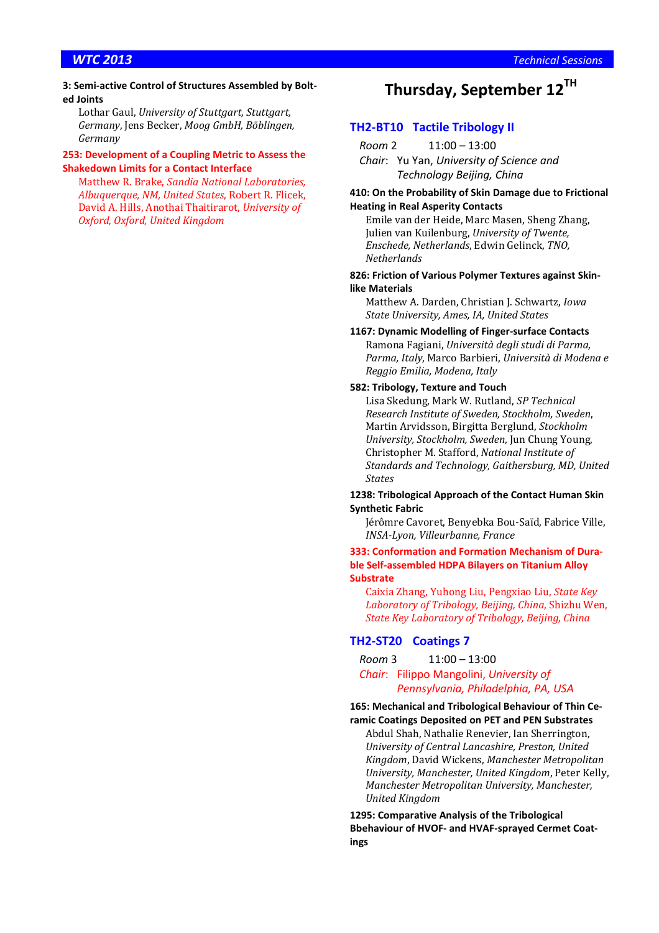### **3: Semi-active Control of Structures Assembled by Bolted Joints**

Lothar Gaul, *University of Stuttgart, Stuttgart, Germany*, Jens Becker, *Moog GmbH, Böblingen, Germany*

### **253: Development of a Coupling Metric to Assess the Shakedown Limits for a Contact Interface**

Matthew R. Brake, *Sandia National Laboratories, Albuquerque, NM, United States*, Robert R. Flicek, David A. Hills, Anothai Thaitirarot, *University of Oxford, Oxford, United Kingdom*

# **Thursday, September 12TH**

## **TH2-BT10 Tactile Tribology II**

*Room* 2 11:00 – 13:00 *Chair*: Yu Yan, *University of Science and Technology Beijing, China*

### **410: On the Probability of Skin Damage due to Frictional**

### **Heating in Real Asperity Contacts**

Emile van der Heide, Marc Masen, Sheng Zhang, Julien van Kuilenburg, *University of Twente, Enschede, Netherlands*, Edwin Gelinck, *TNO, Netherlands*

## **826: Friction of Various Polymer Textures against Skinlike Materials**

Matthew A. Darden, Christian J. Schwartz, *Iowa State University, Ames, IA, United States*

### **1167: Dynamic Modelling of Finger-surface Contacts**  Ramona Fagiani, *Università degli studi di Parma, Parma, Italy*, Marco Barbieri, *Università di Modena e Reggio Emilia, Modena, Italy*

### **582: Tribology, Texture and Touch**

Lisa Skedung, Mark W. Rutland, *SP Technical Research Institute of Sweden, Stockholm, Sweden*, Martin Arvidsson, Birgitta Berglund, *Stockholm University, Stockholm, Sweden*, Jun Chung Young, Christopher M. Stafford, *National Institute of Standards and Technology, Gaithersburg, MD, United States*

### **1238: Tribological Approach of the Contact Human Skin Synthetic Fabric**

Jérômre Cavoret, Benyebka Bou-Saïd, Fabrice Ville, *INSA-Lyon, Villeurbanne, France*

### **333: Conformation and Formation Mechanism of Durable Self-assembled HDPA Bilayers on Titanium Alloy Substrate**

Caixia Zhang, Yuhong Liu, Pengxiao Liu, *State Key Laboratory of Tribology, Beijing, China*, Shizhu Wen, *State Key Laboratory of Tribology, Beijing, China*

### **TH2-ST20 Coatings 7**

*Room* 3 11:00 – 13:00

### *Chair*: Filippo Mangolini, *University of Pennsylvania, Philadelphia, PA, USA*

**165: Mechanical and Tribological Behaviour of Thin Ceramic Coatings Deposited on PET and PEN Substrates** 

Abdul Shah, Nathalie Renevier, Ian Sherrington, *University of Central Lancashire, Preston, United Kingdom*, David Wickens, *Manchester Metropolitan University, Manchester, United Kingdom*, Peter Kelly, *Manchester Metropolitan University, Manchester, United Kingdom*

**1295: Comparative Analysis of the Tribological Bbehaviour of HVOF- and HVAF-sprayed Cermet Coatings**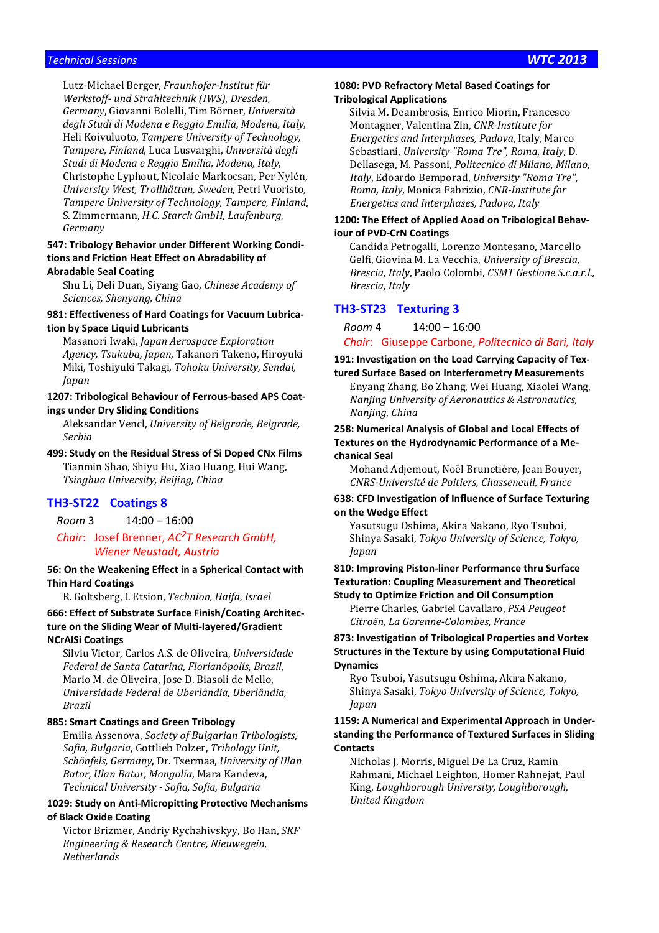### *Technical Sessions WTC 2013*

Lutz-Michael Berger, *Fraunhofer-Institut für Werkstoff- und Strahltechnik (IWS), Dresden, Germany*, Giovanni Bolelli, Tim Börner, *Università degli Studi di Modena e Reggio Emilia, Modena, Italy*, Heli Koivuluoto, *Tampere University of Technology, Tampere, Finland*, Luca Lusvarghi, *Università degli Studi di Modena e Reggio Emilia, Modena, Italy*, Christophe Lyphout, Nicolaie Markocsan, Per Nylén, *University West, Trollhättan, Sweden*, Petri Vuoristo, *Tampere University of Technology, Tampere, Finland*, S. Zimmermann, *H.C. Starck GmbH, Laufenburg, Germany*

### **547: Tribology Behavior under Different Working Conditions and Friction Heat Effect on Abradability of Abradable Seal Coating**

Shu Li, Deli Duan, Siyang Gao, *Chinese Academy of Sciences, Shenyang, China*

### **981: Effectiveness of Hard Coatings for Vacuum Lubrication by Space Liquid Lubricants**

Masanori Iwaki, *Japan Aerospace Exploration Agency, Tsukuba, Japan*, Takanori Takeno, Hiroyuki Miki, Toshiyuki Takagi, *Tohoku University, Sendai, Japan*

### **1207: Tribological Behaviour of Ferrous-based APS Coatings under Dry Sliding Conditions**

Aleksandar Vencl, *University of Belgrade, Belgrade, Serbia* 

**499: Study on the Residual Stress of Si Doped CNx Films**  Tianmin Shao, Shiyu Hu, Xiao Huang, Hui Wang, *Tsinghua University, Beijing, China*

### **TH3-ST22 Coatings 8**

*Room* 3 14:00 – 16:00 *Chair*: Josef Brenner, *AC2T Research GmbH,* 

# *Wiener Neustadt, Austria*

**56: On the Weakening Effect in a Spherical Contact with Thin Hard Coatings** 

R. Goltsberg, I. Etsion, *Technion, Haifa, Israel*

**666: Effect of Substrate Surface Finish/Coating Architecture on the Sliding Wear of Multi-layered/Gradient NCrAlSi Coatings** 

Silviu Victor, Carlos A.S. de Oliveira, *Universidade Federal de Santa Catarina, Florianópolis, Brazil*, Mario M. de Oliveira, Jose D. Biasoli de Mello, *Universidade Federal de Uberlândia, Uberlândia, Brazil*

### **885: Smart Coatings and Green Tribology**

Emilia Assenova, *Society of Bulgarian Tribologists, Sofia, Bulgaria*, Gottlieb Polzer, *Tribology Unit, Schönfels, Germany*, Dr. Tsermaa, *University of Ulan Bator, Ulan Bator, Mongolia*, Mara Kandeva, *Technical University - Sofia, Sofia, Bulgaria*

### **1029: Study on Anti-Micropitting Protective Mechanisms of Black Oxide Coating**

Victor Brizmer, Andriy Rychahivskyy, Bo Han, *SKF Engineering & Research Centre, Nieuwegein, Netherlands*

### **1080: PVD Refractory Metal Based Coatings for Tribological Applications**

Silvia M. Deambrosis, Enrico Miorin, Francesco Montagner, Valentina Zin, *CNR-Institute for Energetics and Interphases, Padova*, Italy, Marco Sebastiani, *University "Roma Tre", Roma, Italy*, D. Dellasega, M. Passoni, *Politecnico di Milano, Milano, Italy*, Edoardo Bemporad, *University "Roma Tre", Roma, Italy*, Monica Fabrizio, *CNR-Institute for Energetics and Interphases, Padova, Italy*

### **1200: The Effect of Applied Aoad on Tribological Behaviour of PVD-CrN Coatings**

Candida Petrogalli, Lorenzo Montesano, Marcello Gelfi, Giovina M. La Vecchia, *University of Brescia, Brescia, Italy*, Paolo Colombi, *CSMT Gestione S.c.a.r.l., Brescia, Italy*

### **TH3-ST23 Texturing 3**

*Room* 4 14:00 – 16:00

*Chair*: Giuseppe Carbone, *Politecnico di Bari, Italy*

### **191: Investigation on the Load Carrying Capacity of Textured Surface Based on Interferometry Measurements**

Enyang Zhang, Bo Zhang, Wei Huang, Xiaolei Wang, *Nanjing University of Aeronautics & Astronautics, Nanjing, China*

### **258: Numerical Analysis of Global and Local Effects of Textures on the Hydrodynamic Performance of a Mechanical Seal**

Mohand Adjemout, Noël Brunetière, Jean Bouyer, *CNRS-Université de Poitiers, Chasseneuil, France*

### **638: CFD Investigation of Influence of Surface Texturing on the Wedge Effect**

Yasutsugu Oshima, Akira Nakano, Ryo Tsuboi, Shinya Sasaki, *Tokyo University of Science, Tokyo, Japan*

### **810: Improving Piston-liner Performance thru Surface Texturation: Coupling Measurement and Theoretical Study to Optimize Friction and Oil Consumption**

Pierre Charles, Gabriel Cavallaro, *PSA Peugeot Citroën, La Garenne-Colombes, France*

**873: Investigation of Tribological Properties and Vortex Structures in the Texture by using Computational Fluid Dynamics** 

Ryo Tsuboi, Yasutsugu Oshima, Akira Nakano, Shinya Sasaki, *Tokyo University of Science, Tokyo, Japan*

### **1159: A Numerical and Experimental Approach in Understanding the Performance of Textured Surfaces in Sliding Contacts**

Nicholas J. Morris, Miguel De La Cruz, Ramin Rahmani, Michael Leighton, Homer Rahnejat, Paul King, *Loughborough University, Loughborough, United Kingdom*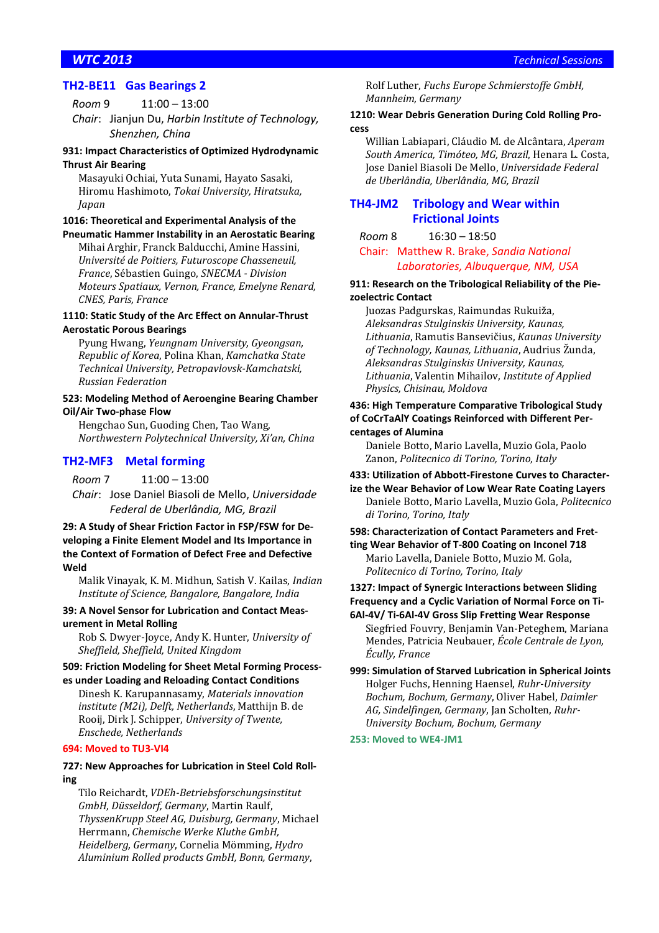# **TH2-BE11 Gas Bearings 2**

*Room* 9 11:00 – 13:00

*Chair*: Jianjun Du, *Harbin Institute of Technology, Shenzhen, China*

### **931: Impact Characteristics of Optimized Hydrodynamic Thrust Air Bearing**

Masayuki Ochiai, Yuta Sunami, Hayato Sasaki, Hiromu Hashimoto, *Tokai University, Hiratsuka, Japan*

### **1016: Theoretical and Experimental Analysis of the Pneumatic Hammer Instability in an Aerostatic Bearing**

Mihai Arghir, Franck Balducchi, Amine Hassini, *Université de Poitiers, Futuroscope Chasseneuil, France*, Sébastien Guingo, *SNECMA - Division Moteurs Spatiaux, Vernon, France, Emelyne Renard, CNES, Paris, France*

### **1110: Static Study of the Arc Effect on Annular-Thrust Aerostatic Porous Bearings**

Pyung Hwang, *Yeungnam University, Gyeongsan, Republic of Korea*, Polina Khan, *Kamchatka State Technical University, Petropavlovsk-Kamchatski, Russian Federation*

### **523: Modeling Method of Aeroengine Bearing Chamber Oil/Air Two-phase Flow**

Hengchao Sun, Guoding Chen, Tao Wang, *Northwestern Polytechnical University, Xi'an, China*

### **TH2-MF3 Metal forming**

*Room* 7 11:00 – 13:00 *Chair*: Jose Daniel Biasoli de Mello, *Universidade Federal de Uberlândia, MG, Brazil*

### **29: A Study of Shear Friction Factor in FSP/FSW for Developing a Finite Element Model and Its Importance in the Context of Formation of Defect Free and Defective Weld**

Malik Vinayak, K. M. Midhun, Satish V. Kailas, *Indian Institute of Science, Bangalore, Bangalore, India*

### **39: A Novel Sensor for Lubrication and Contact Measurement in Metal Rolling**

Rob S. Dwyer-Joyce, Andy K. Hunter, *University of Sheffield, Sheffield, United Kingdom*

### **509: Friction Modeling for Sheet Metal Forming Processes under Loading and Reloading Contact Conditions**

Dinesh K. Karupannasamy, *Materials innovation institute (M2i), Delft, Netherlands*, Matthijn B. de Rooij, Dirk J. Schipper, *University of Twente, Enschede, Netherlands*

### **694: Moved to TU3-VI4**

### **727: New Approaches for Lubrication in Steel Cold Rolling**

Tilo Reichardt, *VDEh-Betriebsforschungsinstitut GmbH, Düsseldorf, Germany*, Martin Raulf, *ThyssenKrupp Steel AG, Duisburg, Germany*, Michael Herrmann, *Chemische Werke Kluthe GmbH, Heidelberg, Germany*, Cornelia Mömming, *Hydro Aluminium Rolled products GmbH, Bonn, Germany*,

Rolf Luther, *Fuchs Europe Schmierstoffe GmbH, Mannheim, Germany*

### **1210: Wear Debris Generation During Cold Rolling Process**

Willian Labiapari, Cláudio M. de Alcântara, *Aperam South America, Timóteo, MG, Brazil*, Henara L. Costa, Jose Daniel Biasoli De Mello, *Universidade Federal de Uberlândia, Uberlândia, MG, Brazil*

### **TH4-JM2 Tribology and Wear within Frictional Joints**

*Room* 8 16:30 – 18:50

Chair: Matthew R. Brake, *Sandia National Laboratories, Albuquerque, NM, USA*

### **911: Research on the Tribological Reliability of the Piezoelectric Contact**

Juozas Padgurskas, Raimundas Rukuiža, *Aleksandras Stulginskis University, Kaunas, Lithuania*, Ramutis Bansevičius, *Kaunas University of Technology, Kaunas, Lithuania*, Audrius Žunda, *Aleksandras Stulginskis University, Kaunas, Lithuania*, Valentin Mihailov, *Institute of Applied Physics, Chisinau, Moldova*

### **436: High Temperature Comparative Tribological Study of CoCrTaAlY Coatings Reinforced with Different Percentages of Alumina**

Daniele Botto, Mario Lavella, Muzio Gola, Paolo Zanon, *Politecnico di Torino, Torino, Italy*

## **433: Utilization of Abbott-Firestone Curves to Character-**

**ize the Wear Behavior of Low Wear Rate Coating Layers**  Daniele Botto, Mario Lavella, Muzio Gola, *Politecnico di Torino, Torino, Italy*

### **598: Characterization of Contact Parameters and Fretting Wear Behavior of T-800 Coating on Inconel 718**

Mario Lavella, Daniele Botto, Muzio M. Gola, *Politecnico di Torino, Torino, Italy*

### **1327: Impact of Synergic Interactions between Sliding Frequency and a Cyclic Variation of Normal Force on Ti-6Al-4V/ Ti-6Al-4V Gross Slip Fretting Wear Response**

Siegfried Fouvry, Benjamin Van-Peteghem, Mariana Mendes, Patricia Neubauer, *École Centrale de Lyon, Écully, France*

**999: Simulation of Starved Lubrication in Spherical Joints**  Holger Fuchs, Henning Haensel, *Ruhr-University Bochum, Bochum, Germany*, Oliver Habel, *Daimler AG, Sindelfingen, Germany*, Jan Scholten, *Ruhr-University Bochum, Bochum, Germany*

**253: Moved to WE4-JM1**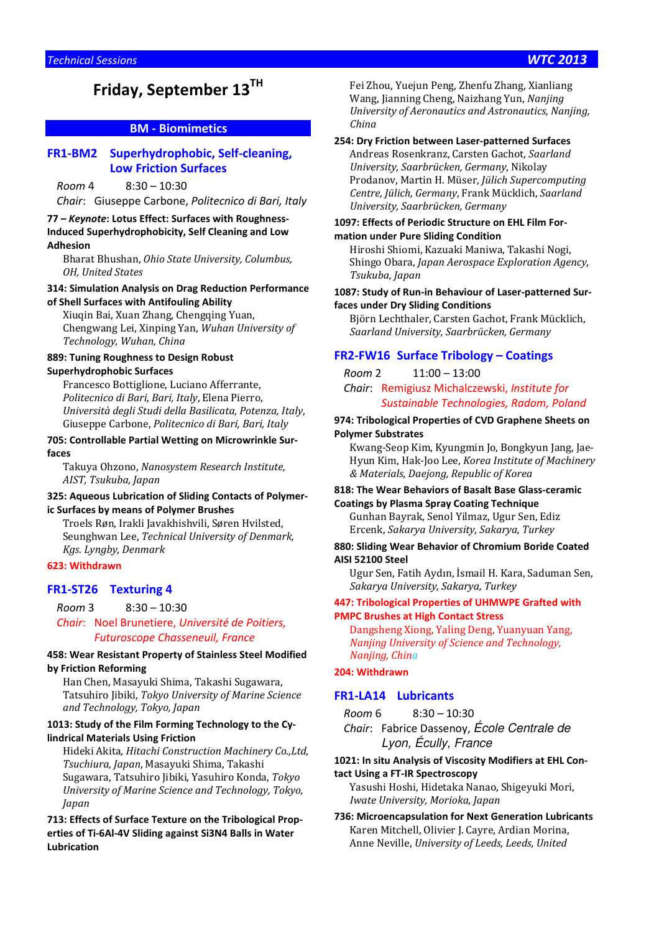# **Friday, September 13TH**

## **BM - Biomimetics**

### **FR1-BM2 Superhydrophobic, Self-cleaning, Low Friction Surfaces**

### *Room* 4 8:30 – 10:30

*Chair*: Giuseppe Carbone, *Politecnico di Bari, Italy*

### **77 –** *Keynote***: Lotus Effect: Surfaces with Roughness-Induced Superhydrophobicity, Self Cleaning and Low Adhesion**

Bharat Bhushan, *Ohio State University, Columbus, OH, United States*

### **314: Simulation Analysis on Drag Reduction Performance of Shell Surfaces with Antifouling Ability**

Xiuqin Bai, Xuan Zhang, Chengqing Yuan, Chengwang Lei, Xinping Yan, *Wuhan University of Technology, Wuhan, China*

### **889: Tuning Roughness to Design Robust Superhydrophobic Surfaces**

Francesco Bottiglione, Luciano Afferrante, *Politecnico di Bari, Bari, Italy*, Elena Pierro, *Università degli Studi della Basilicata, Potenza, Italy*, Giuseppe Carbone, *Politecnico di Bari, Bari, Italy*

### **705: Controllable Partial Wetting on Microwrinkle Surfaces**

Takuya Ohzono, *Nanosystem Research Institute, AIST, Tsukuba, Japan*

### **325: Aqueous Lubrication of Sliding Contacts of Polymeric Surfaces by means of Polymer Brushes**

Troels Røn, Irakli Javakhishvili, Søren Hvilsted, Seunghwan Lee, *Technical University of Denmark, Kgs. Lyngby, Denmark*

### **623: Withdrawn**

### **FR1-ST26 Texturing 4**

*Room* 3 8:30 – 10:30

### *Chair*: Noel Brunetiere, *Université de Poitiers, Futuroscope Chasseneuil, France*

### **458: Wear Resistant Property of Stainless Steel Modified by Friction Reforming**

Han Chen, Masayuki Shima, Takashi Sugawara, Tatsuhiro Jibiki, *Tokyo University of Marine Science and Technology, Tokyo, Japan*

### **1013: Study of the Film Forming Technology to the Cylindrical Materials Using Friction**

Hideki Akita, *Hitachi Construction Machinery Co.,Ltd, Tsuchiura, Japan*, Masayuki Shima, Takashi Sugawara, Tatsuhiro Jibiki, Yasuhiro Konda, *Tokyo University of Marine Science and Technology, Tokyo, Japan*

**713: Effects of Surface Texture on the Tribological Properties of Ti-6Al-4V Sliding against Si3N4 Balls in Water Lubrication** 

Fei Zhou, Yuejun Peng, Zhenfu Zhang, Xianliang Wang, Jianning Cheng, Naizhang Yun, *Nanjing University of Aeronautics and Astronautics, Nanjing, China*

### **254: Dry Friction between Laser-patterned Surfaces**

Andreas Rosenkranz, Carsten Gachot, *Saarland University, Saarbrücken, Germany*, Nikolay Prodanov, Martin H. Müser, *Jülich Supercomputing Centre, Jülich, Germany*, Frank Mücklich, *Saarland University, Saarbrücken, Germany*

### **1097: Effects of Periodic Structure on EHL Film Formation under Pure Sliding Condition**

Hiroshi Shiomi, Kazuaki Maniwa, Takashi Nogi, Shingo Obara, *Japan Aerospace Exploration Agency, Tsukuba, Japan*

### **1087: Study of Run-in Behaviour of Laser-patterned Surfaces under Dry Sliding Conditions**

Björn Lechthaler, Carsten Gachot, Frank Mücklich, *Saarland University, Saarbrücken, Germany*

### **FR2-FW16 Surface Tribology – Coatings**

*Room* 2 11:00 – 13:00

*Chair*: Remigiusz Michalczewski, *Institute for Sustainable Technologies, Radom, Poland*

### **974: Tribological Properties of CVD Graphene Sheets on Polymer Substrates**

Kwang-Seop Kim, Kyungmin Jo, Bongkyun Jang, Jae-Hyun Kim, Hak-Joo Lee, *Korea Institute of Machinery & Materials, Daejong, Republic of Korea*

### **818: The Wear Behaviors of Basalt Base Glass-ceramic Coatings by Plasma Spray Coating Technique**

Gunhan Bayrak, Senol Yilmaz, Ugur Sen, Ediz Ercenk, *Sakarya University, Sakarya, Turkey*

### **880: Sliding Wear Behavior of Chromium Boride Coated AISI 52100 Steel**

Ugur Sen, Fatih Aydın, İsmail H. Kara, Saduman Sen, *Sakarya University, Sakarya, Turkey*

### **447: Tribological Properties of UHMWPE Grafted with PMPC Brushes at High Contact Stress**

Dangsheng Xiong, Yaling Deng, Yuanyuan Yang, *Nanjing University of Science and Technology, Nanjing, China*

### **204: Withdrawn**

### **FR1-LA14 Lubricants**

*Room* 6 8:30 – 10:30 *Chair*: Fabrice Dassenoy, École Centrale de Lyon, Écully, France

### **1021: In situ Analysis of Viscosity Modifiers at EHL Con-**

- **tact Using a FT-IR Spectroscopy**  Yasushi Hoshi, Hidetaka Nanao, Shigeyuki Mori, *Iwate University, Morioka, Japan*
- **736: Microencapsulation for Next Generation Lubricants**  Karen Mitchell, Olivier J. Cayre, Ardian Morina, Anne Neville, *University of Leeds, Leeds, United*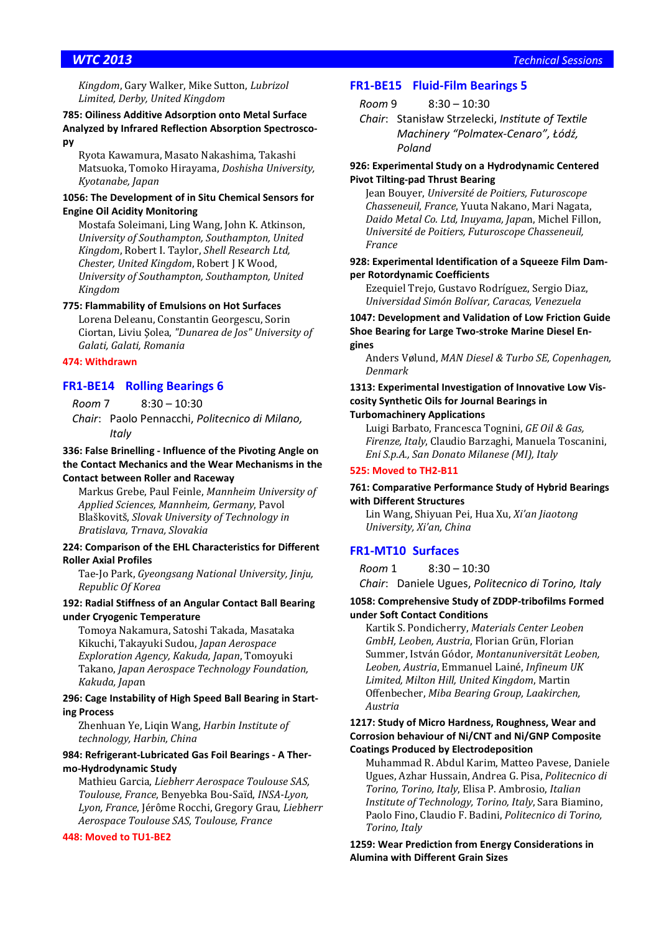*Kingdom*, Gary Walker, Mike Sutton, *Lubrizol Limited, Derby, United Kingdom*

### **785: Oiliness Additive Adsorption onto Metal Surface Analyzed by Infrared Reflection Absorption Spectroscopy**

Ryota Kawamura, Masato Nakashima, Takashi Matsuoka, Tomoko Hirayama, *Doshisha University, Kyotanabe, Japan*

### **1056: The Development of in Situ Chemical Sensors for Engine Oil Acidity Monitoring**

Mostafa Soleimani, Ling Wang, John K. Atkinson, *University of Southampton, Southampton, United Kingdom*, Robert I. Taylor, *Shell Research Ltd, Chester, United Kingdom*, Robert J K Wood, *University of Southampton, Southampton, United Kingdom*

### **775: Flammability of Emulsions on Hot Surfaces**

Lorena Deleanu, Constantin Georgescu, Sorin Ciortan, Liviu Şolea, *"Dunarea de Jos" University of Galati, Galati, Romania*

### **474: Withdrawn**

### **FR1-BE14 Rolling Bearings 6**

*Room* 7 8:30 – 10:30

*Chair*: Paolo Pennacchi, *Politecnico di Milano, Italy*

### **336: False Brinelling - Influence of the Pivoting Angle on the Contact Mechanics and the Wear Mechanisms in the Contact between Roller and Raceway**

Markus Grebe, Paul Feinle, *Mannheim University of Applied Sciences, Mannheim, Germany*, Pavol Blaškovitš, *Slovak University of Technology in Bratislava, Trnava, Slovakia*

### **224: Comparison of the EHL Characteristics for Different Roller Axial Profiles**

Tae-Jo Park, *Gyeongsang National University, Jinju, Republic Of Korea*

### **192: Radial Stiffness of an Angular Contact Ball Bearing under Cryogenic Temperature**

Tomoya Nakamura, Satoshi Takada, Masataka Kikuchi, Takayuki Sudou, *Japan Aerospace Exploration Agency, Kakuda, Japan*, Tomoyuki Takano, *Japan Aerospace Technology Foundation, Kakuda, Japa*n

### **296: Cage Instability of High Speed Ball Bearing in Starting Process**

Zhenhuan Ye, Liqin Wang, *Harbin Institute of technology, Harbin, China*

### **984: Refrigerant-Lubricated Gas Foil Bearings - A Thermo-Hydrodynamic Study**

Mathieu Garcia, *Liebherr Aerospace Toulouse SAS, Toulouse, France*, Benyebka Bou-Saïd, *INSA-Lyon, Lyon, France*, Jérôme Rocchi, Gregory Grau, *Liebherr Aerospace Toulouse SAS, Toulouse, France*

### **448: Moved to TU1-BE2**

### **FR1-BE15 Fluid-Film Bearings 5**

*Room* 9 8:30 – 10:30

*Chair*: Stanisław Strzelecki, *Institute of Textile Machinery "Polmatex-Cenaro", Łódź, Poland*

### **926: Experimental Study on a Hydrodynamic Centered Pivot Tilting-pad Thrust Bearing**

Jean Bouyer, *Université de Poitiers, Futuroscope Chasseneuil, France*, Yuuta Nakano, Mari Nagata, *Daido Metal Co. Ltd, Inuyama, Japa*n, Michel Fillon, *Université de Poitiers, Futuroscope Chasseneuil, France*

### **928: Experimental Identification of a Squeeze Film Damper Rotordynamic Coefficients**

Ezequiel Trejo, Gustavo Rodríguez, Sergio Diaz, *Universidad Simón Bolívar, Caracas, Venezuela*

### **1047: Development and Validation of Low Friction Guide Shoe Bearing for Large Two-stroke Marine Diesel Engines**

Anders Vølund, *MAN Diesel & Turbo SE, Copenhagen, Denmark*

## **1313: Experimental Investigation of Innovative Low Viscosity Synthetic Oils for Journal Bearings in**

### **Turbomachinery Applications**

Luigi Barbato, Francesca Tognini, *GE Oil & Gas, Firenze, Italy*, Claudio Barzaghi, Manuela Toscanini, *Eni S.p.A., San Donato Milanese (MI), Italy*

### **525: Moved to TH2-B11**

### **761: Comparative Performance Study of Hybrid Bearings with Different Structures**

Lin Wang, Shiyuan Pei, Hua Xu, *Xi'an Jiaotong University, Xi'an, China*

### **FR1-MT10 Surfaces**

*Room* 1 8:30 – 10:30 *Chair*: Daniele Ugues, *Politecnico di Torino, Italy*

### **1058: Comprehensive Study of ZDDP-tribofilms Formed under Soft Contact Conditions**

Kartik S. Pondicherry, *Materials Center Leoben GmbH, Leoben, Austria*, Florian Grün, Florian Summer, István Gódor, *Montanuniversität Leoben, Leoben, Austria*, Emmanuel Lainé, *Infineum UK Limited, Milton Hill, United Kingdom*, Martin Offenbecher, *Miba Bearing Group, Laakirchen, Austria*

### **1217: Study of Micro Hardness, Roughness, Wear and Corrosion behaviour of Ni/CNT and Ni/GNP Composite Coatings Produced by Electrodeposition**

Muhammad R. Abdul Karim, Matteo Pavese, Daniele Ugues, Azhar Hussain, Andrea G. Pisa, *Politecnico di Torino, Torino, Italy*, Elisa P. Ambrosio, *Italian Institute of Technology, Torino, Italy*, Sara Biamino, Paolo Fino, Claudio F. Badini, *Politecnico di Torino, Torino, Italy*

**1259: Wear Prediction from Energy Considerations in Alumina with Different Grain Sizes**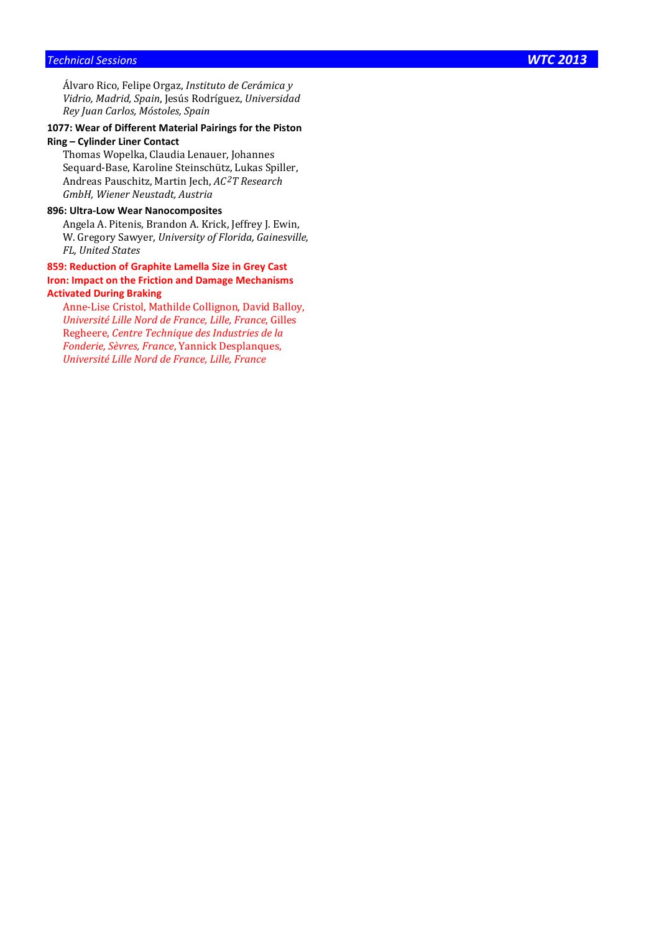Álvaro Rico, Felipe Orgaz, *Instituto de Cerámica y Vidrio, Madrid, Spain*, Jesús Rodríguez, *Universidad Rey Juan Carlos, Móstoles, Spain*

### **1077: Wear of Different Material Pairings for the Piston Ring – Cylinder Liner Contact**

Thomas Wopelka, Claudia Lenauer, Johannes Sequard-Base, Karoline Steinschütz, Lukas Spiller, Andreas Pauschitz, Martin Jech, *AC 2T Research GmbH, Wiener Neustadt, Austria*

### **896: Ultra-Low Wear Nanocomposites**

Angela A. Pitenis, Brandon A. Krick, Jeffrey J. Ewin, W. Gregory Sawyer, *University of Florida, Gainesville, FL, United States*

### **859: Reduction of Graphite Lamella Size in Grey Cast Iron: Impact on the Friction and Damage Mechanisms Activated During Braking**

Anne-Lise Cristol, Mathilde Collignon, David Balloy, *Université Lille Nord de France, Lille, France*, Gilles Regheere, *Centre Technique des Industries de la Fonderie, Sèvres, France*, Yannick Desplanques, *Université Lille Nord de France, Lille, France*